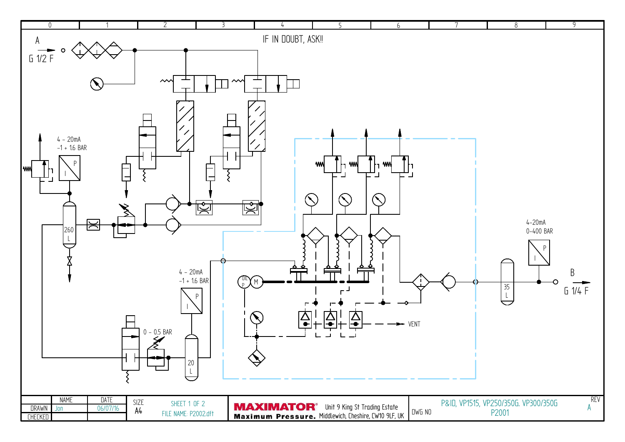